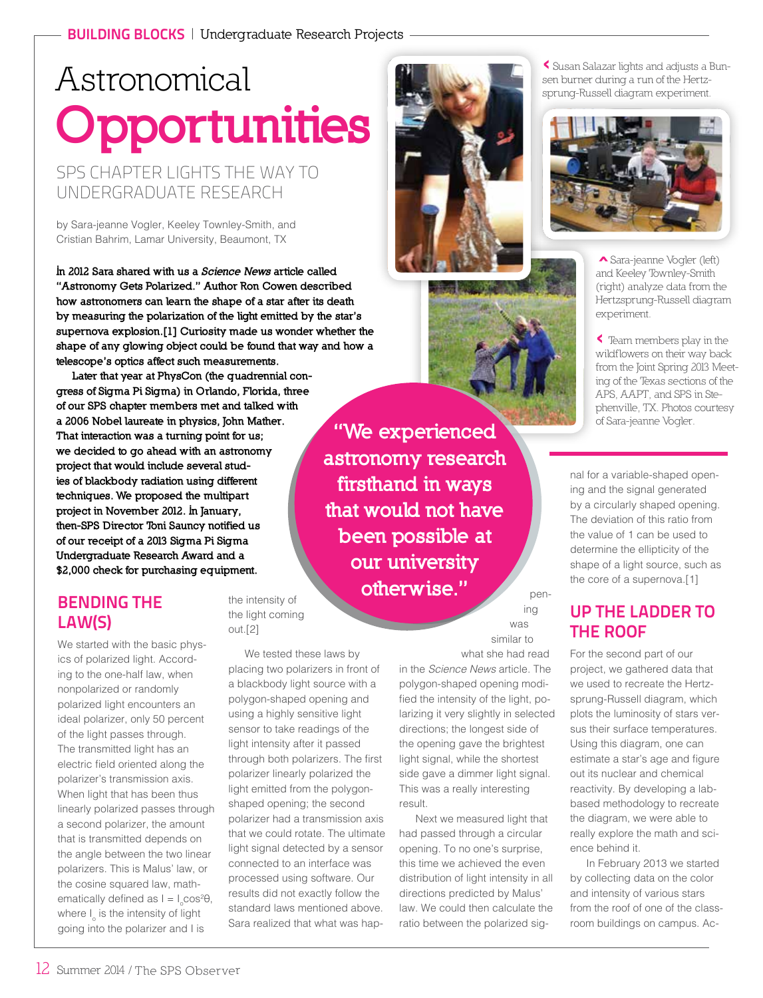# Astronomical **Opportunities**

SPS CHAPTER LIGHTS THE WAY TO UNDERGRADUATE RESEARCH

by Sara-jeanne Vogler, Keeley Townley-Smith, and Cristian Bahrim, Lamar University, Beaumont, TX

In 2012 Sara shared with us a Science News article called "Astronomy Gets Polarized." Author Ron Cowen described how astronomers can learn the shape of a star after its death by measuring the polarization of the light emitted by the star's supernova explosion.[1] Curiosity made us wonder whether the shape of any glowing object could be found that way and how a telescope's optics affect such measurements.

> the intensity of the light coming

We tested these laws by placing two polarizers in front of a blackbody light source with a polygon-shaped opening and using a highly sensitive light sensor to take readings of the light intensity after it passed through both polarizers. The first polarizer linearly polarized the light emitted from the polygonshaped opening; the second polarizer had a transmission axis that we could rotate. The ultimate light signal detected by a sensor connected to an interface was processed using software. Our results did not exactly follow the standard laws mentioned above. Sara realized that what was hap-

out.[2]

Later that year at PhysCon (the quadrennial congress of Sigma Pi Sigma) in Orlando, Florida, three of our SPS chapter members met and talked with a 2006 Nobel laureate in physics, John Mather. That interaction was a turning point for us; we decided to go ahead with an astronomy project that would include several studies of blackbody radiation using different techniques. We proposed the multipart project in November 2012. In January, then-SPS Director Toni Sauncy notified us of our receipt of a 2013 Sigma Pi Sigma Undergraduate Research Award and a \$2,000 check for purchasing equipment.

## BENDING THE LAW(S)

We started with the basic physics of polarized light. According to the one-half law, when nonpolarized or randomly polarized light encounters an ideal polarizer, only 50 percent of the light passes through. The transmitted light has an electric field oriented along the polarizer's transmission axis. When light that has been thus linearly polarized passes through a second polarizer, the amount that is transmitted depends on the angle between the two linear polarizers. This is Malus' law, or the cosine squared law, mathematically defined as  $I = I_o cos²θ$ , where I<sub>o</sub> is the intensity of light going into the polarizer and I is

"We experienced astronomy research firsthand in ways that would not have been possible at our university otherwise."

pening

was similar to what she had read

in the *Science News* article. The polygon-shaped opening modified the intensity of the light, polarizing it very slightly in selected directions; the longest side of the opening gave the brightest light signal, while the shortest side gave a dimmer light signal. This was a really interesting result.

Next we measured light that had passed through a circular opening. To no one's surprise, this time we achieved the even distribution of light intensity in all directions predicted by Malus' law. We could then calculate the ratio between the polarized sig-

‹ Susan Salazar lights and adjusts a Bunsen burner during a run of the Hertzsprung-Russell diagram experiment.



 Sara-jeanne Vogler (left) ‹and Keeley Townley-Smith (right) analyze data from the Hertzsprung-Russell diagram experiment.

‹ Team members play in the wildflowers on their way back from the Joint Spring 2013 Meeting of the Texas sections of the APS, AAPT, and SPS in Stephenville, TX. Photos courtesy of Sara-jeanne Vogler.

nal for a variable-shaped opening and the signal generated by a circularly shaped opening. The deviation of this ratio from the value of 1 can be used to determine the ellipticity of the shape of a light source, such as the core of a supernova.[1]

## UP THE LADDER TO THE ROOF

For the second part of our project, we gathered data that we used to recreate the Hertzsprung-Russell diagram, which plots the luminosity of stars versus their surface temperatures. Using this diagram, one can estimate a star's age and figure out its nuclear and chemical reactivity. By developing a labbased methodology to recreate the diagram, we were able to really explore the math and science behind it.

In February 2013 we started by collecting data on the color and intensity of various stars from the roof of one of the classroom buildings on campus. Ac-